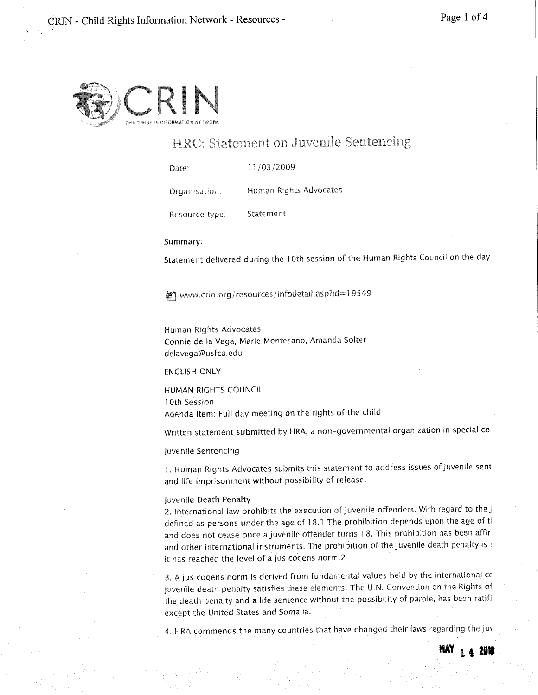MAY <sub>14</sub> 2019



,~

# HRC: Statement on Juvenile Sentencing

Date: 11/03/2009

Organisation: Human Rights Advocates

Resource type: Statement

### Summary:

Statement delivered during the 10th session of the Human Rights Council on the day

■ www.crin.org/resources/infodetail.asp?id=19549

Human Rights Advocates Connie de la Vega, Marie Montesano, Amanda Solter delavega@usfca.edu

# ENGLISH ONLY

HUMAN RIGHTS COUNCIL 10th Session Agenda Item: Full day meeting on the rights of the child

Written statement submitted by HRA, a non-governmental organization in special co

Juvenile Sentencing

1. Human Rights Advocates submits this statement to address issues of juvenile sent and life imprisonment without possibility of release.

#### Juvenile Death Penalty

2. International law prohibits the execution of juvenile offenders. With regard to the j defined as persons under the age of  $18.1$  The prohibition depends upon the age of ti and does not cease once a juvenile offender turns 18. This prohibition has been affir and other international instruments. The prohibition of the juvenile death penalty is : it has reached the level of ajus cogens norm.2

3. Ajus cogens norm is derived from fundamental values held by the international cc juvenile death penalty satisfies these elements. The U.N. Convention on the Rights of the death penalty and a life sentence without the possibility of parole, has been ratifi except the United States and Somalia,

4. HRA commends the many countries that have changed their laws regarding the juv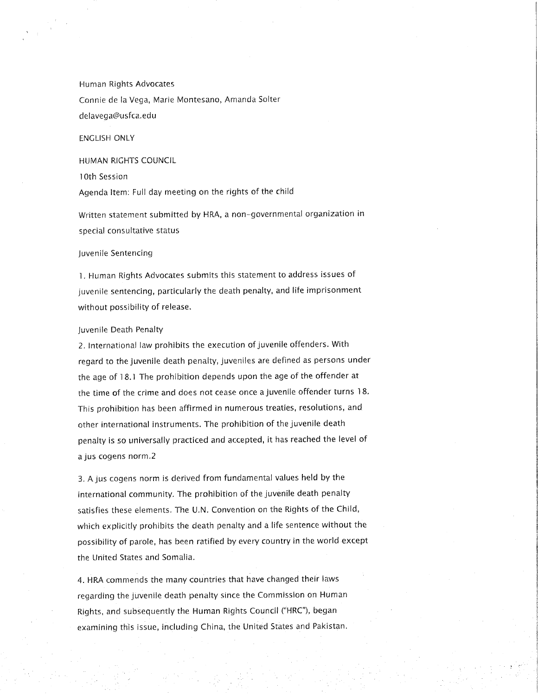Human Rights Advocates Connie de la Vega, Marie Montesano, Amanda Salter delavega@usfca.edu

ENGLISH ONLY

HUMAN RIGHTS COUNCIL

i Oth Session

Agenda Item: Full day meeting on the rights of the child

Written statement submitted by HRA, a non-90vernmental organization in special consultative status

#### Juvenile Sentencin9

1. Human Ri9hts Advocates submits this statement to address issues of juvenile sentencing, particularly the death penalty, and life imprisonment without possibility of release,

# Juvenile Death Penalty

2, International law prohibits the execution of juvenile offenders. With regard to the juvenile death penalty, juveniles are defined as persons under the age of 18.1 The prohibition depends upon the age of the offender at the time of the crime and does not cease once a juvenile offender turns 18. This prohibition has been affirmed in numerous treaties, resolutions, and other international instruments. The prohibition of the juvenile death penalty is so universally practiced and accepted, it has reached the level of a jus cogens norm ,2

3. A jus cogens norm is derived from fundamental values held by the international community. The prohibition of the juvenile death penalty satisfies these elements. The U,N. Convention on the Rights of the Child, which explicitly prohibits the death penalty and a life sentence without the possibility of parole, has been ratified by every country in the world except the United States and Somalia.

4. HRA commends the many countries that have changed their laws regarding the juvenile death penalty since the Commission on Human Rights, and subsequently the Human Rights Council ("HRC"), began examining this issue, including China, the United States and Pakistan.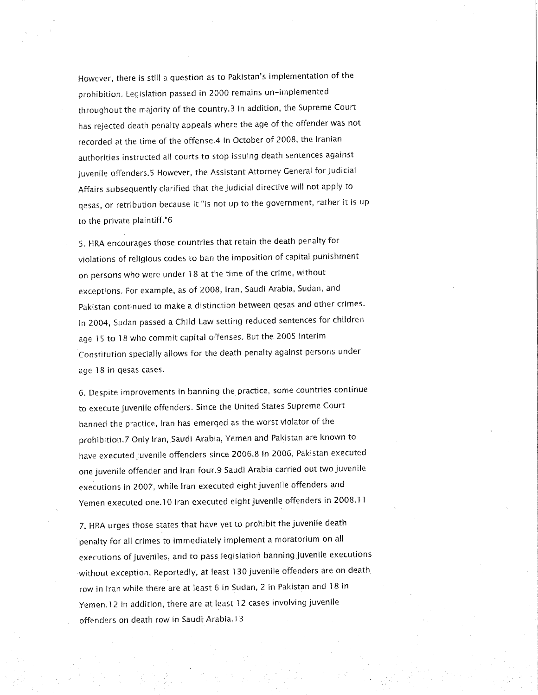However, there is still a question as to Pakistan's implementation of the prohibition, Legislation passed in 2000 remains un-'implemented throughout the majority of the country,3 In addition, the Supreme Court has rejected death penalty appeals where the age of the offender was not recorded at the time of the offense.4 In October of 2008, the Iranian authorities instructed all courts to stop issuing death sentences against juvenile offenders.5 However, the Assistant Attorney General for Judicial Affairs subsequently clarified that the judicial directive will not apply to qesas, or retribution because it "is not up to the government, rather it is up to the private plaintiff."6

5. HRA encourages those countries that retain the death penalty for violations of religious codes to ban the imposition of capital punishment on persons who were under 18 at the time of the crime, without exceptions. For example, as of 2008, Iran, Saudi Arabia, Sudan, and Pakistan continued to make a distinction between qesas and other crimes. In 2004, Sudan passed a Child Law setting reduced sentences for children age 15 to 18 who commit capital offenses, But the 2005 Interim Constitution specially allows for the death penalty against persons under age 18 in qesas cases,

6. Despite improvements in banning the practice, some countries continue to execute juvenile offenders, Since the United States Supreme Court banned the practice, Iran has emerged as the worst violator of the prohibition.? Only Iran, Saudi Arabia, Yemen and Pakistan are known to have executed juvenile offenders since 2006.8 In 2006, Pakistan executed one juvenile offender and Iran four.9 Saudi Arabia carried out two juvenile executions in 2007, while Iran executed eight juvenile offenders and Yemen executed one. 10 Iran executed eight juvenile offenders in 2008.11

7. HRA urges those states that have yet to prohibit the juvenile death penalty for all crimes to immediately implement a moratorium on all executions of juveniles, and to pass legislation banning juvenile executions without exception. Reportedly, at least 130 juvenile offenders are on death row in Iran while there are at least 6 in Sudan, 2 in Pakistan and 18 in Yemen.12 In addition, there are at least 12 cases involving juvenile offenders on death row in Saudi Arabia,l 3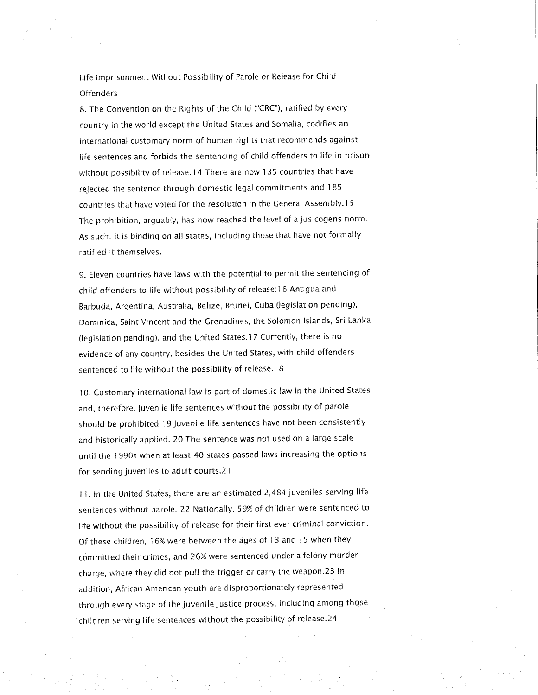Life Imprisonment Without Possibility of Parole or Release for Child **Offenders** 

8. The Convention on the Rights of the Child ("CRC"), ratified by every country in the world except the United States and Somalia, codifies an international customary norm of human rights that recommends against life sentences and forbids the sentencing of child offenders to life in prison without possibility of release,14 There are now 135 countries that have rejected the sentence through domestic legal commitments and 185 countries that have voted for the resolution in the General Assembly,l 5 The prohibition, arguably, has now reached the level of a jus cogens norm, As such, it is binding on all states, including those that have not formally ratified it themselves.

9. Eleven countries have laws with the potential to permit the sentencing of child offenders to life without possibility of release: 16 Antigua and Barbuda, Argentina, Australia. Belize, Brunei, Cuba (legislation pending), Dominica, Saint Vincent and the Grenadines, the Solomon Islands, Sri Lanka (legislation pending), and the United States,l? Currently, there is no evidence of any country, besides the United States, with child offenders sentenced to life without the possibility of release,18

10. Customary international law is part of domestic law in the United States and, therefore, juvenile life sentences without the possibility of parole should be prohibited,19 Juvenile life sentences have not been consistently and historically applied, 20 The sentence was not used on a large scale until the 1990s when at least 40 states passed laws increasing the options for sending juveniles to adult courts.21

i 1. In the United States, there are an estimated 2,484 juveniles serving life sentences without parole. 22 Nationally, 59% of chíldren were sentenced to life without the possibility of release for their first ever criminal conviction. Of these children, 16% were between the ages of 13 and 15 when they committed their crimes, and 26% were sentenced under a felony murder charge, where they did not pull the trigger or carry the weapon.23 In addition, African American youth are disproportionately represented through every stage of the juvenile justice process, including among those children serving life sentences without the possibility of release.24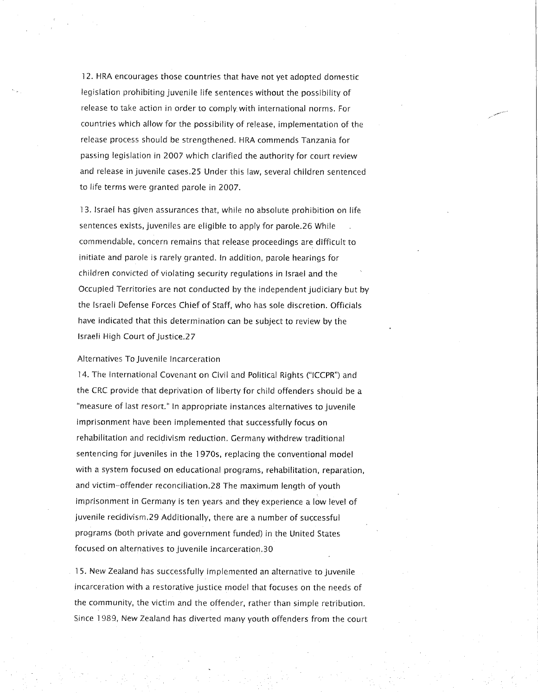12, HRA encourages those countries that have not yet adopted domestic legislation prohibiting juvenile life sentences without the possibility of release to take action in order to comply with international norms. For countries which allow for the possibility of release, implementation of the release process should be strengthened. HRA commends Tanzania for passing legislation in 2007 which clarified the authority for court review and release in juvenile cases.25 Under this law, several children sentenced to life terms were granted parole in 2007,

13. Israel has given assurances that, while no absolute prohibition on life sentences exists, juveniles are eligible to apply for parole.26 While commendable, concern remains that release proceedings are difficult to initiate and parole is rarely granted. In addition, parole hearings for children convicted of violating security regulations in Israel and the Occupied Territories are not conducted by the independent judiciary but by the Israeli Defense Forces Chief of Staff, who has sole discretion. Officials have indicated that this determination can be subject to review by the Israeli High Court of Justice.27

#### Alternatives To Juvenile Incarceration

14. The International Covenant on Civil and Political Rights ("ICCPR") and the CRC provide that deprivation of liberty for child offenders should be a "measure of last resort." In appropriate instances alternatives to juvenile imprisonment have been implemented that successfully focus on rehabilitation and recidivism reduction. Germany withdrew traditional sentencing for juveniles in the 1970s, replacing the conventional model with a system focused on educational programs, rehabilitation, reparation, and victim-offender reconciliation.28 The maximum length of youth imprisonment in Germany is ten years and they experience a low level of juvenile recidivism.29 Additionally, there are a number of successful programs (both private and government funded) in the United States focused on alternatives to juvenile incarceration,30

15, New Zealand has successfully implemented an alternative to juvenile incarceration with a restorative justice model that focuses on the needs of the community, the victim and the offender, rather than simple retribution. Since 1989, New Zealand has diverted many youth offenders from the court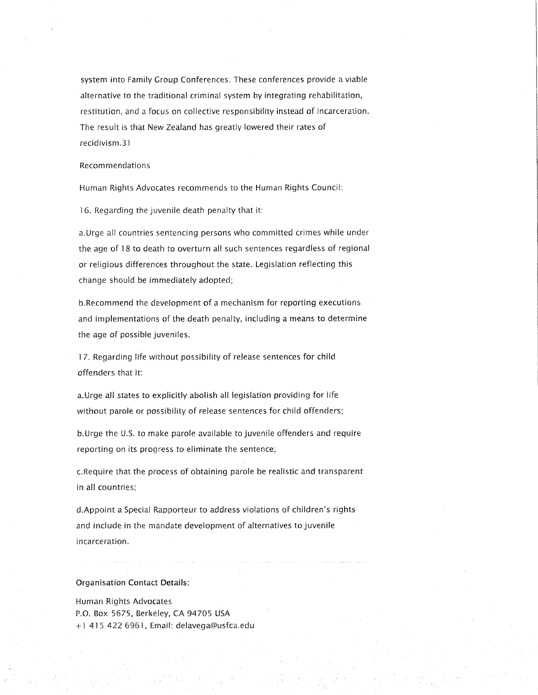system into Family Group Conferences. These conferences provide a viable alternative to the traditional criminal system by integrating rehabilitation, restitution, and a focus on collective responsibility instead of incarceration. The result is that New Zealand has greatly lowered their rates of recidivism.31

#### Recom mendations

Human Rights Advocates recommends to the Human Rights Council:

16. Regarding the juvenile death penalty that it:

a.Urge all countries sentencing persons who committed crimes while under the age of 18 to death to overturn all such sentences regardless of regional or religious differences throughout the state. Legislation reflecting this change should be immediately adopted;

b.Recommend the development of a mechanism for reporting executions and implementations of the death penalty, including a means to determine the age of possible juveniles.

17. Regarding life without possibility of release sentences for child offenders that it:

a,Urge all states to explicitly abolish all legislation providing for life without parole or possibility of release sentences for child offenders;

b.Urge the U,S. to make parole available to juvenile offenders and require reporting on its progress to eliminate the sentence;

c.Require that the process of obtaining parole be realistic and transparent in all countries:

d.Appoint a Special Rapporteur to address violations of children's rights and include in the mandate development of alternatives to juvenile incarceration,

# Organisation Contact Details:

Human Rights Advocates P.O. Box 5675, Berkeley, CA 94705 USA  $+1$  415 422 6961. Email: delavega@usfca.edu